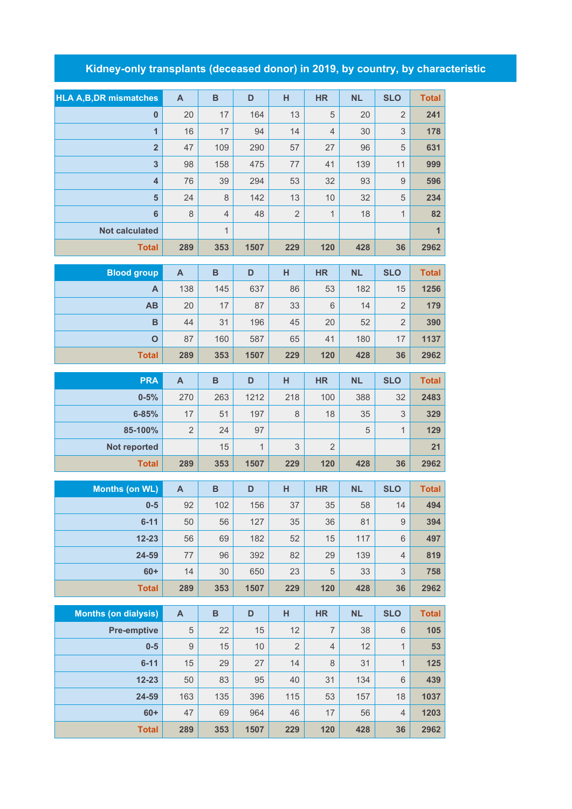## **Kidney-only transplants (deceased donor) in 2019, by country, by characteristic**

|                                | $\overline{A}$ | $\overline{B}$ | D            | H              | <b>HR</b>       | <b>NL</b> | <b>SLO</b>     | <b>Total</b> |
|--------------------------------|----------------|----------------|--------------|----------------|-----------------|-----------|----------------|--------------|
| <b>HLA A, B, DR mismatches</b> |                |                |              |                |                 |           |                |              |
| $\bf{0}$                       | 20             | 17             | 164          | 13             | 5               | 20        | $\overline{2}$ | 241          |
| $\overline{1}$                 | 16             | 17             | 94           | 14             | 4               | 30        | 3              | 178          |
| $\overline{2}$                 | 47             | 109            | 290          | 57             | 27              | 96        | 5              | 631          |
| $\overline{\mathbf{3}}$        | 98             | 158            | 475          | 77             | 41              | 139       | 11             | 999          |
| $\overline{\mathbf{4}}$        | 76             | 39             | 294          | 53             | 32              | 93        | $\mathsf 9$    | 596          |
| 5                              | 24             | 8              | 142          | 13             | 10              | 32        | 5              | 234          |
| $6\phantom{a}$                 | 8              | $\overline{4}$ | 48           | $\overline{2}$ | $\mathbf{1}$    | 18        | $\mathbf{1}$   | 82           |
| <b>Not calculated</b>          |                | $\mathbf{1}$   |              |                |                 |           |                | $\mathbf{1}$ |
| <b>Total</b>                   | 289            | 353            | 1507         | 229            | 120             | 428       | 36             | 2962         |
|                                |                |                |              |                |                 |           |                |              |
| <b>Blood group</b>             | A              | B              | D            | H              | <b>HR</b>       | <b>NL</b> | <b>SLO</b>     | <b>Total</b> |
| A                              | 138            | 145            | 637          | 86             | 53              | 182       | 15             | 1256         |
| AB                             | 20             | 17             | 87           | 33             | $6\phantom{1}6$ | 14        | 2              | 179          |
| B                              | 44             | 31             | 196          | 45             | 20              | 52        | $\overline{2}$ | 390          |
| $\mathbf O$                    | 87             | 160            | 587          | 65             | 41              | 180       | 17             | 1137         |
| <b>Total</b>                   | 289            | 353            | 1507         | 229            | 120             | 428       | 36             | 2962         |
| <b>PRA</b>                     | $\mathsf{A}$   | $\overline{B}$ | D            | H              | <b>HR</b>       | <b>NL</b> | <b>SLO</b>     | <b>Total</b> |
| $0 - 5%$                       | 270            | 263            | 1212         | 218            | 100             | 388       | 32             | 2483         |
| $6 - 85%$                      | 17             | 51             | 197          | $\,8\,$        | 18              | 35        | 3              | 329          |
| 85-100%                        | $\overline{2}$ | 24             | 97           |                |                 | 5         | $\mathbf{1}$   | 129          |
| <b>Not reported</b>            |                | 15             | $\mathbf{1}$ | 3              | $\overline{2}$  |           |                | 21           |
| <b>Total</b>                   | 289            | 353            | 1507         | 229            | 120             | 428       | 36             | 2962         |
|                                |                |                |              |                |                 |           | <b>SLO</b>     |              |
| <b>Months (on WL)</b>          | $\mathbf{A}$   | $\overline{B}$ | D            | H              | <b>HR</b>       | NL        |                | <b>Total</b> |
| $0-5$                          | 92             | 102            | 156          | 37             | 35              | 58        | 14             | 494          |
| $6 - 11$                       | 50             | 56             | 127          | 35             | 36              | 81        | $\mathsf 9$    | 394          |
| $12 - 23$                      | 56             | 69             | 182          | 52             | 15              | 117       | $6\,$          | 497          |
| 24-59                          | 77             | 96             | 392          | 82             | 29              | 139       | $\overline{4}$ | 819          |

**60+** 14 30 650 23 5 33 3 **758 Total 289 353 1507 229 120 428 36 2962 Months (on dialysis) A B D H HR NL SLO Total Pre-emptive** 5 22 15 12 7 38 6 105 **0-5** 9 15 10 2 4 12 1 **53 6-11** 15 29 27 14 8 31 1 **125 12-23** 50 83 95 40 31 134 6 **439 24-59** 163 135 396 115 53 157 18 **1037 60+** 47 69 964 46 17 56 4 **1203 Total 289 353 1507 229 120 428 36 2962**